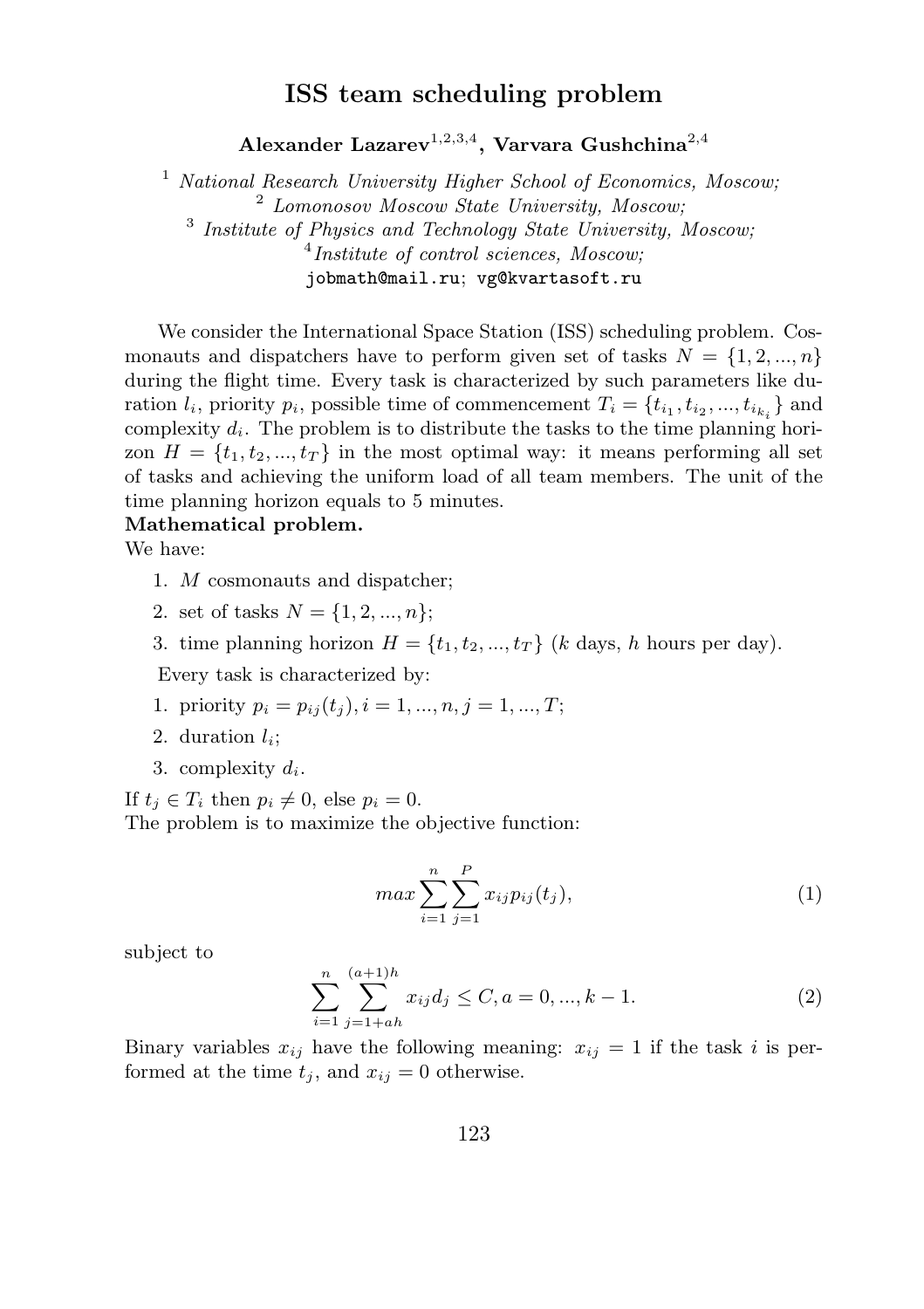## ISS team scheduling problem

Alexander Lazarev<sup>1,2,3,4</sup>, Varvara Gushchina<sup>2,4</sup>

 $1$  National Research University Higher School of Economics, Moscow; <sup>2</sup> Lomonosov Moscow State University, Moscow; <sup>3</sup> Institute of Physics and Technology State University, Moscow; <sup>4</sup>Institute of control sciences, Moscow; jobmath@mail.ru; vg@kvartasoft.ru

We consider the International Space Station (ISS) scheduling problem. Cosmonauts and dispatchers have to perform given set of tasks  $N = \{1, 2, ..., n\}$ during the flight time. Every task is characterized by such parameters like duration  $l_i$ , priority  $p_i$ , possible time of commencement  $T_i = \{t_{i_1}, t_{i_2}, ..., t_{i_k}\}\$ and complexity  $d_i$ . The problem is to distribute the tasks to the time planning horizon  $H = \{t_1, t_2, ..., t_T\}$  in the most optimal way: it means performing all set of tasks and achieving the uniform load of all team members. The unit of the time planning horizon equals to 5 minutes.

## Mathematical problem.

We have:

- 1. M cosmonauts and dispatcher;
- 2. set of tasks  $N = \{1, 2, ..., n\};$
- 3. time planning horizon  $H = \{t_1, t_2, ..., t_T\}$  (k days, h hours per day).

Every task is characterized by:

- 1. priority  $p_i = p_{ij}(t_j), i = 1, ..., n, j = 1, ..., T;$
- 2. duration  $l_i$ :
- 3. complexity  $d_i$ .

If  $t_i \in T_i$  then  $p_i \neq 0$ , else  $p_i = 0$ . The problem is to maximize the objective function:

$$
max \sum_{i=1}^{n} \sum_{j=1}^{P} x_{ij} p_{ij}(t_j),
$$
\n(1)

subject to

$$
\sum_{i=1}^{n} \sum_{j=1+ah}^{(a+1)h} x_{ij} d_j \le C, a = 0, ..., k - 1.
$$
 (2)

Binary variables  $x_{ij}$  have the following meaning:  $x_{ij} = 1$  if the task i is performed at the time  $t_j$ , and  $x_{ij} = 0$  otherwise.